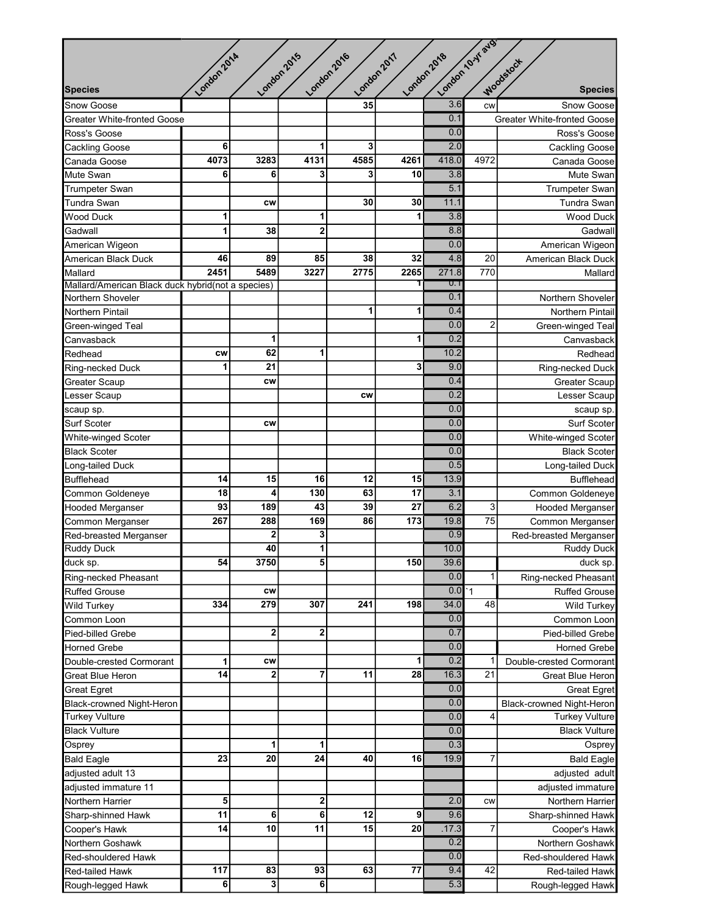|                                                                        | London 2014     |                 | London 2015             | London 2016 | London 2017 | London /O.Y avg.<br>London 2018 |                 |                                             |
|------------------------------------------------------------------------|-----------------|-----------------|-------------------------|-------------|-------------|---------------------------------|-----------------|---------------------------------------------|
| <b>Species</b>                                                         |                 |                 |                         |             |             |                                 |                 | Woodstock<br><b>Species</b>                 |
| Snow Goose                                                             |                 |                 |                         | 35          |             | 3.6                             | <b>CW</b>       | Snow Goose                                  |
| <b>Greater White-fronted Goose</b>                                     |                 |                 |                         |             |             | 0.1                             |                 | <b>Greater White-fronted Goose</b>          |
| Ross's Goose                                                           |                 |                 |                         |             |             | 0.0                             |                 | Ross's Goose                                |
| Cackling Goose                                                         | 6               |                 | 1                       | 3           |             | $\overline{2.0}$                |                 | Cackling Goose                              |
| Canada Goose                                                           | 4073            | 3283            | 4131                    | 4585        | 4261        | 418.0                           | 4972            | Canada Goose                                |
| Mute Swan                                                              | 6               | 6               | 3                       | 3           | 10          | 3.8                             |                 | Mute Swan                                   |
| <b>Trumpeter Swan</b>                                                  |                 |                 |                         |             |             | $\overline{5.1}$                |                 |                                             |
|                                                                        |                 | <b>CW</b>       |                         | 30          | 30          | 11.1                            |                 | <b>Trumpeter Swan</b><br><b>Tundra Swan</b> |
| Tundra Swan<br><b>Wood Duck</b>                                        | 1               |                 | 1                       |             | 1           | 3.8                             |                 | <b>Wood Duck</b>                            |
|                                                                        | 1               |                 |                         |             |             | 8.8                             |                 |                                             |
| Gadwall                                                                |                 | 38              | $\mathbf{2}$            |             |             | 0.0                             |                 | Gadwall                                     |
| American Wigeon                                                        | 46              | 89              | 85                      | 38          | 32          | 4.8                             | 20              | American Wigeon                             |
| American Black Duck                                                    |                 |                 |                         |             |             |                                 |                 | American Black Duck                         |
| Mallard                                                                | 2451            | 5489            | 3227                    | 2775        | 2265        | 271.8<br>U.T                    | 770             | Mallard                                     |
| Mallard/American Black duck hybrid(not a species)<br>Northern Shoveler |                 |                 |                         |             |             | 0.1                             |                 | Northern Shoveler                           |
| Northern Pintail                                                       |                 |                 |                         | 1           |             | 0.4                             |                 | <b>Northern Pintail</b>                     |
|                                                                        |                 |                 |                         |             |             | 0.0                             | $\overline{c}$  |                                             |
| Green-winged Teal                                                      |                 |                 |                         |             |             | $\overline{0.2}$                |                 | Green-winged Teal                           |
| Canvasback                                                             |                 | 1               | 1                       |             |             |                                 |                 | Canvasback                                  |
| Redhead                                                                | CW              | 62              |                         |             |             | 10.2                            |                 | Redhead                                     |
| Ring-necked Duck                                                       | 1               | 21              |                         |             | 3           | 9.0                             |                 | Ring-necked Duck                            |
| Greater Scaup                                                          |                 | <b>CW</b>       |                         |             |             | 0.4                             |                 | <b>Greater Scaup</b>                        |
| Lesser Scaup                                                           |                 |                 |                         | <b>CW</b>   |             | 0.2                             |                 | Lesser Scaup                                |
| scaup sp.                                                              |                 |                 |                         |             |             | 0.0                             |                 | scaup sp.                                   |
| Surf Scoter                                                            |                 | <b>CW</b>       |                         |             |             | 0.0                             |                 | Surf Scoter                                 |
| White-winged Scoter                                                    |                 |                 |                         |             |             | 0.0                             |                 | White-winged Scoter                         |
| <b>Black Scoter</b>                                                    |                 |                 |                         |             |             | 0.0                             |                 | <b>Black Scoter</b>                         |
| Long-tailed Duck                                                       |                 |                 |                         |             |             | 0.5                             |                 | Long-tailed Duck                            |
| <b>Bufflehead</b>                                                      | 14              | 15              | 16                      | 12          | 15          | 13.9                            |                 | <b>Bufflehead</b>                           |
| Common Goldeneye                                                       | 18              | 4               | 130                     | 63          | 17          | 3.1                             |                 | Common Goldeneye                            |
| <b>Hooded Merganser</b>                                                | 93              | 189             | 43                      | 39          | 27          | 6.2                             | 3               | <b>Hooded Merganser</b>                     |
| Common Merganser                                                       | 267             | 288             | 169                     | 86          | 173         | 19.8                            | $\overline{75}$ | Common Merganser                            |
| Red-breasted Merganser                                                 |                 | $\overline{2}$  | 3                       |             |             | 0.9                             |                 | Red-breasted Merganser                      |
| <b>Ruddy Duck</b>                                                      |                 | 40              | 1                       |             |             | 10.0                            |                 | <b>Ruddy Duck</b>                           |
| duck sp.                                                               | 54              | 3750            | 5                       |             | 150         | 39.6                            |                 | duck sp.                                    |
| Ring-necked Pheasant                                                   |                 |                 |                         |             |             | 0.0                             | $\mathbf{1}$    | Ring-necked Pheasant                        |
| <b>Ruffed Grouse</b>                                                   |                 | <b>CW</b>       |                         |             |             | 0.0                             | $\overline{1}$  | <b>Ruffed Grouse</b>                        |
| <b>Wild Turkey</b>                                                     | 334             | 279             | 307                     | 241         | 198         | 34.0                            | 48              | Wild Turkey                                 |
| Common Loon                                                            |                 |                 |                         |             |             | 0.0                             |                 | Common Loon                                 |
| Pied-billed Grebe                                                      |                 | $\bf{2}$        | 2                       |             |             | 0.7                             |                 | Pied-billed Grebe                           |
| <b>Horned Grebe</b>                                                    |                 |                 |                         |             |             | 0.0                             |                 | <b>Horned Grebe</b>                         |
| Double-crested Cormorant                                               | 1               | <b>CW</b>       |                         |             | 1           | 0.2                             |                 | Double-crested Cormorant                    |
|                                                                        | 14              | $\overline{2}$  | 7                       | 11          | 28          | 16.3                            | 21              |                                             |
| <b>Great Blue Heron</b>                                                |                 |                 |                         |             |             |                                 |                 | <b>Great Blue Heron</b>                     |
| <b>Great Egret</b>                                                     |                 |                 |                         |             |             | 0.0                             |                 | <b>Great Egret</b>                          |
| Black-crowned Night-Heron                                              |                 |                 |                         |             |             | 0.0                             |                 | Black-crowned Night-Heron                   |
| <b>Turkey Vulture</b>                                                  |                 |                 |                         |             |             | 0.0                             | 4               | <b>Turkey Vulture</b>                       |
| <b>Black Vulture</b>                                                   |                 |                 |                         |             |             | 0.0                             |                 | <b>Black Vulture</b>                        |
| Osprey                                                                 |                 | 1               | 1                       |             |             | 0.3                             |                 | Osprey                                      |
| <b>Bald Eagle</b>                                                      | 23              | 20              | 24                      | 40          | 16          | 19.9                            | 7               | <b>Bald Eagle</b>                           |
| adjusted adult 13                                                      |                 |                 |                         |             |             |                                 |                 | adjusted adult                              |
| adjusted immature 11                                                   |                 |                 |                         |             |             |                                 |                 | adjusted immature                           |
| Northern Harrier                                                       | 5               |                 | $\overline{\mathbf{2}}$ |             |             | 2.0                             | <b>CW</b>       | Northern Harrier                            |
| Sharp-shinned Hawk                                                     | 11              | 6               | 6                       | 12          | 9           | 9.6                             |                 | Sharp-shinned Hawk                          |
| Cooper's Hawk                                                          | 14              | $\overline{10}$ | 11                      | 15          | 20          | .17.3                           | $\overline{7}$  | Cooper's Hawk                               |
| Northern Goshawk                                                       |                 |                 |                         |             |             | 0.2                             |                 | Northern Goshawk                            |
| Red-shouldered Hawk                                                    |                 |                 |                         |             |             | 0.0                             |                 | Red-shouldered Hawk                         |
| Red-tailed Hawk                                                        | $\frac{1}{117}$ | 83              | $\overline{93}$         | 63          | 77          | 9.4                             | $\overline{42}$ | Red-tailed Hawk                             |
| Rough-legged Hawk                                                      | 6               | 3               | 6                       |             |             | 5.3                             |                 | Rough-legged Hawk                           |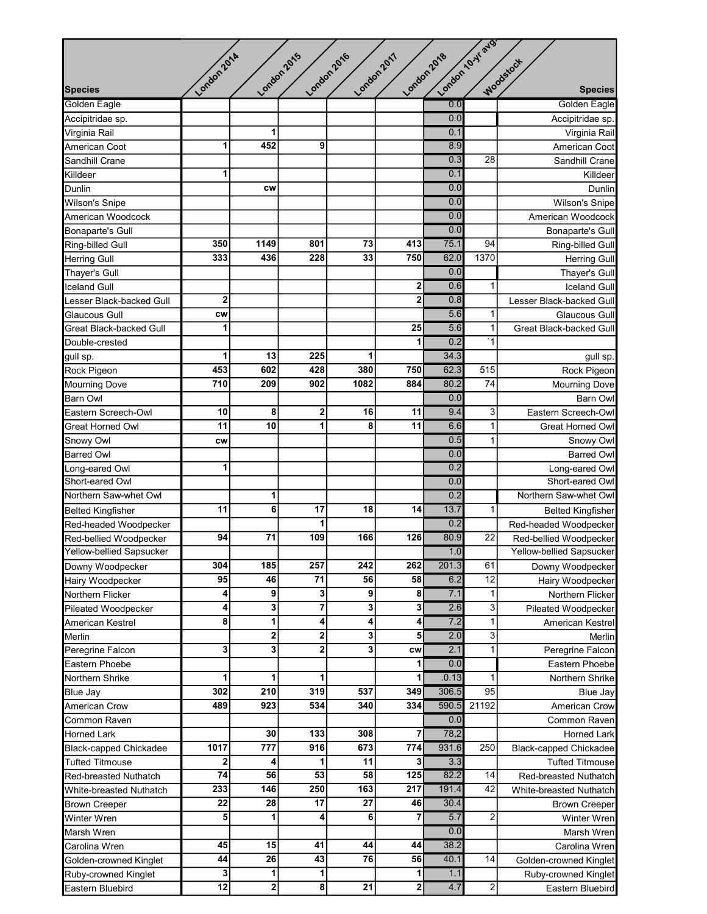|                          |                  |                 |                         |                  |                  |             | London /O.Y avg.        |                               |
|--------------------------|------------------|-----------------|-------------------------|------------------|------------------|-------------|-------------------------|-------------------------------|
|                          | London 2014      |                 | London 2015             | London 2016      | London 2017      | London 2018 |                         | Woodstock                     |
| <b>Species</b>           |                  |                 |                         |                  |                  |             |                         | <b>Species</b>                |
| Golden Eagle             |                  |                 |                         |                  |                  | 0.0         |                         | Golden Eagle                  |
| Accipitridae sp.         |                  |                 |                         |                  |                  | 0.0         |                         | Accipitridae sp.              |
| Virginia Rail            |                  | 1               |                         |                  |                  | 0.1         |                         | Virginia Rail                 |
| American Coot            | 1                | 452             | 9                       |                  |                  | 8.9         |                         | American Coot                 |
| Sandhill Crane           |                  |                 |                         |                  |                  | 0.3         | 28                      | Sandhill Crane                |
| Killdeer                 | 1                |                 |                         |                  |                  | 0.1         |                         | Killdeer                      |
| Dunlin                   |                  | <b>CW</b>       |                         |                  |                  | 0.0         |                         | Dunlin                        |
| Wilson's Snipe           |                  |                 |                         |                  |                  | 0.0         |                         | <b>Wilson's Snipe</b>         |
| American Woodcock        |                  |                 |                         |                  |                  | 0.0         |                         | American Woodcock             |
| Bonaparte's Gull         |                  |                 |                         |                  |                  | 0.0         |                         | <b>Bonaparte's Gull</b>       |
| Ring-billed Gull         | 350              | 1149            | 801                     | 73               | 413              | 75.1        | 94                      | Ring-billed Gull              |
| <b>Herring Gull</b>      | 333              | 436             | 228                     | 33               | 750              | 62.0        | 1370                    | <b>Herring Gull</b>           |
| Thayer's Gull            |                  |                 |                         |                  |                  | 0.0         |                         | Thayer's Gull                 |
| <b>Iceland Gull</b>      |                  |                 |                         |                  | $\mathbf{2}$     | 0.6         | $\mathbf{1}$            | <b>Iceland Gull</b>           |
| Lesser Black-backed Gull | $\mathbf 2$      |                 |                         |                  | $\overline{2}$   | 0.8         |                         | Lesser Black-backed Gull      |
| Glaucous Gull            | <b>CW</b>        |                 |                         |                  |                  | 5.6         | $\mathbf 1$             | Glaucous Gull                 |
| Great Black-backed Gull  | 1                |                 |                         |                  | 25               | 5.6         | $\mathbf{1}$            | Great Black-backed Gull       |
| Double-crested           |                  |                 |                         |                  | 1                | 0.2         | $\overline{1}$          |                               |
| gull sp.                 | 1                | 13              | 225                     | 1                |                  | 34.3        |                         | gull sp.                      |
| Rock Pigeon              | 453              | 602             | 428                     | 380              | 750              | 62.3        | 515                     | Rock Pigeon                   |
| <b>Mourning Dove</b>     | 710              | 209             | 902                     | 1082             | 884              | 80.2        | $\overline{74}$         | <b>Mourning Dove</b>          |
| <b>Barn Owl</b>          |                  |                 |                         |                  |                  | 0.0         |                         | <b>Barn Owl</b>               |
| Eastern Screech-Owl      | 10               | 8               | 2                       | 16               | 11               | 9.4         | 3                       | Eastern Screech-Owl           |
| Great Horned Owl         | 11               | 10              | 1                       | 8                | 11               | 6.6         | $\mathbf{1}$            | Great Horned Owl              |
| Snowy Owl                | <b>CW</b>        |                 |                         |                  |                  | 0.5         | $\mathbf{1}$            | Snowy Owl                     |
| <b>Barred Owl</b>        |                  |                 |                         |                  |                  | 0.0         |                         | <b>Barred Owl</b>             |
| Long-eared Owl           | 1                |                 |                         |                  |                  | 0.2         |                         | Long-eared Owl                |
| Short-eared Owl          |                  |                 |                         |                  |                  | 0.0         |                         | Short-eared Owl               |
| Northern Saw-whet Owl    |                  | 1               |                         |                  |                  | 0.2         |                         | Northern Saw-whet Owl         |
| <b>Belted Kingfisher</b> | 11               | 6               | 17                      | 18               | 14               | 13.7        | $\mathbf{1}$            | <b>Belted Kingfisher</b>      |
| Red-headed Woodpecker    |                  |                 | 1                       |                  |                  | 0.2         |                         | Red-headed Woodpecker         |
| Red-bellied Woodpecker   | 94               | 71              | 109                     | 166              | 126              | 80.9        | 22                      | Red-bellied Woodpecker        |
| Yellow-bellied Sapsucker |                  |                 |                         |                  |                  | 1.0         |                         | Yellow-bellied Sapsucker      |
| Downy Woodpecker         | 304              | 185             | 257                     | 242              | 262              | 201.3       | 61                      | Downy Woodpecker              |
| Hairy Woodpecker         | 95               | 46              | 71                      | 56               | 58               | 6.2         | $\overline{12}$         | Hairy Woodpecker              |
| Northern Flicker         | 4                | 9               | 3                       | $\boldsymbol{9}$ | 8                | 7.1         | $\mathbf{1}$            | Northern Flicker              |
| Pileated Woodpecker      | 4                | 3               | 7                       | 3                | 3 <sup>1</sup>   | 2.6         | 3                       | Pileated Woodpecker           |
| American Kestrel         | 8                | 1               | 4                       | $\boldsymbol{4}$ | 4                | 7.2         | $\mathbf{1}$            | American Kestrel              |
| Merlin                   |                  | 2               | $\overline{\mathbf{2}}$ | 3                | 5                | 2.0         | $\mathbf{3}$            | Merlin                        |
| Peregrine Falcon         | 3                | $\mathbf{3}$    | $\overline{2}$          | $\mathbf{3}$     | <b>CW</b>        | 2.1         | $\mathbf{1}$            | Peregrine Falcon              |
| Eastern Phoebe           |                  |                 |                         |                  | 1                | 0.0         |                         | Eastern Phoebe                |
| Northern Shrike          | 1                | 1               | 1                       |                  | 1                | .0.13       | 1                       | Northern Shrike               |
| Blue Jay                 | 302              | 210             | 319                     | 537              | 349              | 306.5       | 95                      | Blue Jay                      |
| American Crow            | 489              | 923             | 534                     | 340              | 334              | 590.5       | 21192                   | American Crow                 |
| Common Raven             |                  |                 |                         |                  |                  | 0.0         |                         | Common Raven                  |
| <b>Horned Lark</b>       |                  | 30              | 133                     | 308              | 7                | 78,2        |                         | <b>Horned Lark</b>            |
| Black-capped Chickadee   | $\frac{1}{1017}$ | 777             | 916                     | 673              | 774              | 931.6       | 250                     | <b>Black-capped Chickadee</b> |
| Tufted Titmouse          | 2                | 4               | 1                       | 11               | 3                | 3.3         |                         | <b>Tufted Titmouse</b>        |
| Red-breasted Nuthatch    | $\overline{74}$  | 56              | 53                      | 58               | $\overline{125}$ | 82.2        | 14                      | Red-breasted Nuthatch         |
| White-breasted Nuthatch  | 233              | 146             | 250                     | 163              | 217              | 191.4       | 42                      | White-breasted Nuthatch       |
| <b>Brown Creeper</b>     | 22               | 28              | 17                      | 27               | 46               | 30.4        |                         | <b>Brown Creeper</b>          |
| Winter Wren              | 5                | 1               | 4                       | 6                | 7                | 5.7         | $\overline{\mathbf{c}}$ | Winter Wren                   |
| Marsh Wren               |                  |                 |                         |                  |                  | 0.0         |                         | Marsh Wren                    |
| Carolina Wren            | 45               | 15              | 41                      | 44               | 44               | 38.2        |                         | Carolina Wren                 |
| Golden-crowned Kinglet   | 44               | $\overline{26}$ | 43                      | 76               | 56               | 40.1        | 14                      | Golden-crowned Kinglet        |
| Ruby-crowned Kinglet     | 3                | $\mathbf{1}$    | 1                       |                  | 1                | 1.1         |                         | Ruby-crowned Kinglet          |
| Eastern Bluebird         | $\overline{12}$  | $\mathbf{2}$    | $\overline{\mathbf{8}}$ | $\overline{21}$  | $\mathbf{2}$     | 4.7         | $\mathbf{2}$            | Eastern Bluebird              |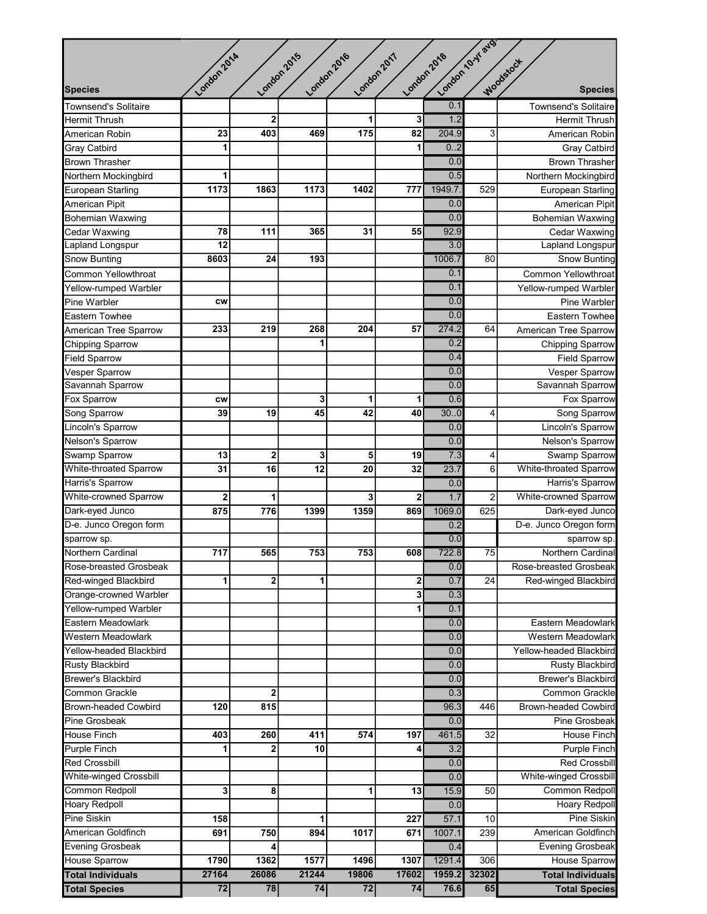|                               |                 |                         |                            |       |                  | London /O.Y avg. |                         |                             |
|-------------------------------|-----------------|-------------------------|----------------------------|-------|------------------|------------------|-------------------------|-----------------------------|
|                               | London 2014     |                         | London 2015<br>London 2016 |       | London 2017      | London 2018      |                         | Woodstock                   |
|                               |                 |                         |                            |       |                  |                  |                         |                             |
| <b>Species</b>                |                 |                         |                            |       |                  |                  |                         | <b>Species</b>              |
| <b>Townsend's Solitaire</b>   |                 |                         |                            |       |                  | 0.1              |                         | <b>Townsend's Solitaire</b> |
| <b>Hermit Thrush</b>          |                 | $\overline{2}$          |                            | 1     | 3                | 1.2              |                         | <b>Hermit Thrush</b>        |
| American Robin                | 23              | 403                     | 469                        | 175   | 82               | 204.9            | 3                       | American Robin              |
| <b>Gray Catbird</b>           | 1               |                         |                            |       | 1                | 0.2              |                         | <b>Gray Catbird</b>         |
| <b>Brown Thrasher</b>         |                 |                         |                            |       |                  | 0.0              |                         | <b>Brown Thrasher</b>       |
| Northern Mockingbird          | 1               |                         |                            |       |                  | 0.5              |                         | Northern Mockingbird        |
| European Starling             | 1173            | 1863                    | 1173                       | 1402  | 777              | 1949.7           | 529                     | European Starling           |
| American Pipit                |                 |                         |                            |       |                  | 0.0              |                         | American Pipit              |
| <b>Bohemian Waxwing</b>       |                 |                         |                            |       |                  | 0.0              |                         | Bohemian Waxwing            |
| Cedar Waxwing                 | 78              | 111                     | 365                        | 31    | 55               | 92.9             |                         | Cedar Waxwing               |
| Lapland Longspur              | 12              |                         |                            |       |                  | 3.0              |                         | Lapland Longspur            |
| <b>Snow Bunting</b>           | 8603            | 24                      | 193                        |       |                  | 1006.7           | 80                      | <b>Snow Bunting</b>         |
| <b>Common Yellowthroat</b>    |                 |                         |                            |       |                  | 0.1              |                         | Common Yellowthroat         |
| Yellow-rumped Warbler         |                 |                         |                            |       |                  | 0.1              |                         | Yellow-rumped Warbler       |
| Pine Warbler                  | <b>CW</b>       |                         |                            |       |                  | 0.0              |                         | Pine Warbler                |
| Eastern Towhee                |                 |                         |                            |       |                  | 0.0              |                         | Eastern Towhee              |
| American Tree Sparrow         | 233             | 219                     | 268                        | 204   | 57               | 274.2            | 64                      | American Tree Sparrow       |
| <b>Chipping Sparrow</b>       |                 |                         |                            |       |                  | 0.2              |                         | <b>Chipping Sparrow</b>     |
| <b>Field Sparrow</b>          |                 |                         |                            |       |                  | 0.4              |                         | <b>Field Sparrow</b>        |
| <b>Vesper Sparrow</b>         |                 |                         |                            |       |                  | 0.0              |                         | <b>Vesper Sparrow</b>       |
| Savannah Sparrow              |                 |                         |                            |       |                  | 0.0              |                         | Savannah Sparrow            |
| Fox Sparrow                   | CW              |                         | 3                          | 1     | 1                | 0.6              |                         | Fox Sparrow                 |
| Song Sparrow                  | 39              | 19                      | 45                         | 42    | 40               | 30.0             | 4                       | Song Sparrow                |
| Lincoln's Sparrow             |                 |                         |                            |       |                  | 0.0              |                         | Lincoln's Sparrow           |
| Nelson's Sparrow              |                 |                         |                            |       |                  | 0.0              |                         | Nelson's Sparrow            |
| Swamp Sparrow                 | 13              | $\bf{2}$                | 3                          | 5     | 19               | 7.3              | 4                       | Swamp Sparrow               |
|                               |                 |                         |                            |       |                  | 23.7             |                         |                             |
| <b>White-throated Sparrow</b> | 31              | 16                      | 12                         | 20    | 32               |                  | 6                       | White-throated Sparrow      |
| Harris's Sparrow              |                 |                         |                            |       |                  | 0.0              |                         | Harris's Sparrow            |
| <b>White-crowned Sparrow</b>  | $\mathbf{2}$    | 1                       |                            | 3     | 2                | 1.7              | $\overline{\mathbf{c}}$ | White-crowned Sparrow       |
| Dark-eyed Junco               | 875             | 776                     | 1399                       | 1359  | 869              | 1069.0           | 625                     | Dark-eyed Junco             |
| D-e. Junco Oregon form        |                 |                         |                            |       |                  | 0.2              |                         | D-e. Junco Oregon form      |
| sparrow sp.                   |                 |                         |                            |       |                  | 0.0              |                         | sparrow sp.                 |
| <b>Northern Cardinal</b>      | 717             | 565                     | 753                        | 753   | 608              | 722.8            | 75                      | Northern Cardinal           |
| Rose-breasted Grosbeak        |                 |                         |                            |       |                  | 0.0              |                         | Rose-breasted Grosbeak      |
| Red-winged Blackbird          | $\mathbf{1}$    | $\bf{2}$                | 1                          |       | 2                | 0.7              | $\overline{24}$         | Red-winged Blackbird        |
| Orange-crowned Warbler        |                 |                         |                            |       | 3                | 0.3              |                         |                             |
| Yellow-rumped Warbler         |                 |                         |                            |       | 1                | 0.1              |                         |                             |
| Eastern Meadowlark            |                 |                         |                            |       |                  | 0.0              |                         | Eastern Meadowlark          |
| Western Meadowlark            |                 |                         |                            |       |                  | 0.0              |                         | Western Meadowlark          |
| Yellow-headed Blackbird       |                 |                         |                            |       |                  | 0.0              |                         | Yellow-headed Blackbird     |
| Rusty Blackbird               |                 |                         |                            |       |                  | 0.0              |                         | <b>Rusty Blackbird</b>      |
| <b>Brewer's Blackbird</b>     |                 |                         |                            |       |                  | 0.0              |                         | <b>Brewer's Blackbird</b>   |
| Common Grackle                |                 | $\overline{\mathbf{2}}$ |                            |       |                  | 0.3              |                         | <b>Common Grackle</b>       |
| <b>Brown-headed Cowbird</b>   | 120             | 815                     |                            |       |                  | 96.3             | 446                     | <b>Brown-headed Cowbird</b> |
| Pine Grosbeak                 |                 |                         |                            |       |                  | 0.0              |                         | Pine Grosbeak               |
| House Finch                   | 403             | 260                     | 411                        | 574   | 197              | 461.5            | $\overline{32}$         | House Finch                 |
| <b>Purple Finch</b>           | $\mathbf{1}$    | $\mathbf{2}$            | 10                         |       | $\boldsymbol{4}$ | 3.2              |                         | <b>Purple Finch</b>         |
| <b>Red Crossbill</b>          |                 |                         |                            |       |                  | 0.0              |                         | <b>Red Crossbill</b>        |
| <b>White-winged Crossbill</b> |                 |                         |                            |       |                  | 0.0              |                         | White-winged Crossbill      |
| Common Redpoll                | 3               | 8                       |                            | 1     | 13               | 15.9             | 50                      | <b>Common Redpoll</b>       |
| Hoary Redpoll                 |                 |                         |                            |       |                  | 0.0              |                         | Hoary Redpoll               |
| Pine Siskin                   | 158             |                         | 1                          |       | 227              | 57.1             | 10                      | <b>Pine Siskin</b>          |
| American Goldfinch            | 691             | 750                     | 894                        | 1017  | 671              | 1007.1           | 239                     | American Goldfinch          |
| <b>Evening Grosbeak</b>       |                 | 4                       |                            |       |                  | 0.4              |                         | <b>Evening Grosbeak</b>     |
| <b>House Sparrow</b>          | 1790            | 1362                    | 1577                       | 1496  | 1307             | 1291.4           | 306                     | <b>House Sparrow</b>        |
| <b>Total Individuals</b>      | 27164           | 26086                   | 21244                      | 19806 | 17602            | 1959.2           | 32302                   | <b>Total Individuals</b>    |
| <b>Total Species</b>          | $\overline{72}$ | 78                      | 74                         | 72    | 74               | 76.6             | 65                      | <b>Total Species</b>        |
|                               |                 |                         |                            |       |                  |                  |                         |                             |